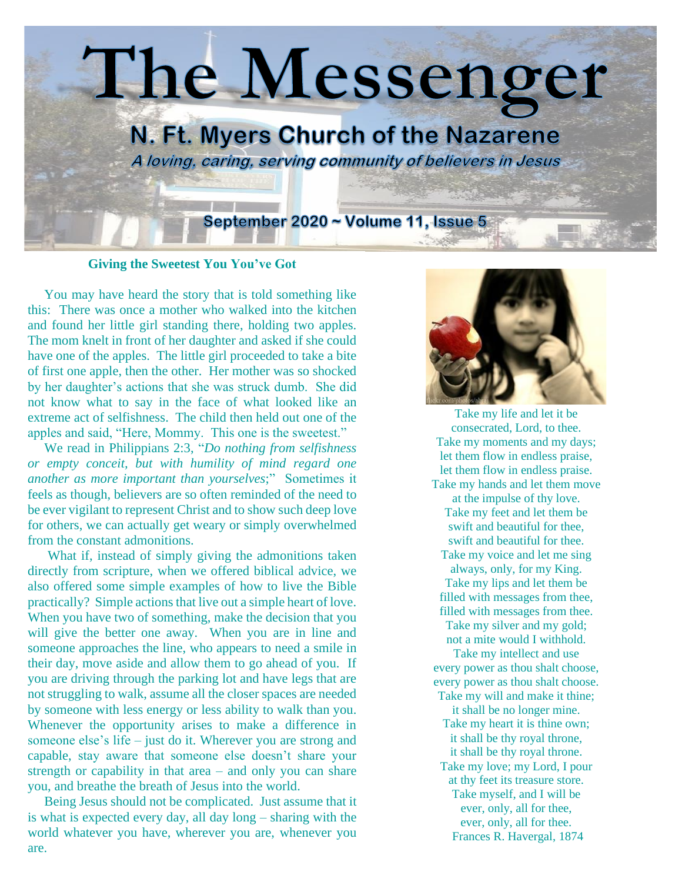

**Giving the Sweetest You You've Got**

 You may have heard the story that is told something like this: There was once a mother who walked into the kitchen and found her little girl standing there, holding two apples. The mom knelt in front of her daughter and asked if she could have one of the apples. The little girl proceeded to take a bite of first one apple, then the other. Her mother was so shocked by her daughter's actions that she was struck dumb. She did not know what to say in the face of what looked like an extreme act of selfishness. The child then held out one of the apples and said, "Here, Mommy. This one is the sweetest."

 We read in Philippians 2:3, "*Do nothing from selfishness or empty conceit, but with humility of mind regard one another as more important than yourselves*;" Sometimes it feels as though, believers are so often reminded of the need to be ever vigilant to represent Christ and to show such deep love for others, we can actually get weary or simply overwhelmed from the constant admonitions.

 What if, instead of simply giving the admonitions taken directly from scripture, when we offered biblical advice, we also offered some simple examples of how to live the Bible practically? Simple actions that live out a simple heart of love. When you have two of something, make the decision that you will give the better one away. When you are in line and someone approaches the line, who appears to need a smile in their day, move aside and allow them to go ahead of you. If you are driving through the parking lot and have legs that are not struggling to walk, assume all the closer spaces are needed by someone with less energy or less ability to walk than you. Whenever the opportunity arises to make a difference in someone else's life – just do it. Wherever you are strong and capable, stay aware that someone else doesn't share your strength or capability in that area – and only you can share you, and breathe the breath of Jesus into the world.

 Being Jesus should not be complicated. Just assume that it is what is expected every day, all day long – sharing with the world whatever you have, wherever you are, whenever you are.



Take my life and let it be consecrated, Lord, to thee. Take my moments and my days; let them flow in endless praise, let them flow in endless praise. Take my hands and let them move at the impulse of thy love. Take my feet and let them be swift and beautiful for thee, swift and beautiful for thee. Take my voice and let me sing always, only, for my King. Take my lips and let them be filled with messages from thee, filled with messages from thee. Take my silver and my gold; not a mite would I withhold.

Take my intellect and use every power as thou shalt choose, every power as thou shalt choose. Take my will and make it thine;

it shall be no longer mine. Take my heart it is thine own; it shall be thy royal throne, it shall be thy royal throne. Take my love; my Lord, I pour at thy feet its treasure store. Take myself, and I will be ever, only, all for thee, ever, only, all for thee. [Frances R. Havergal,](https://library.timelesstruths.org/music/_/Havergal_Frances_R/?sortby=author) 1874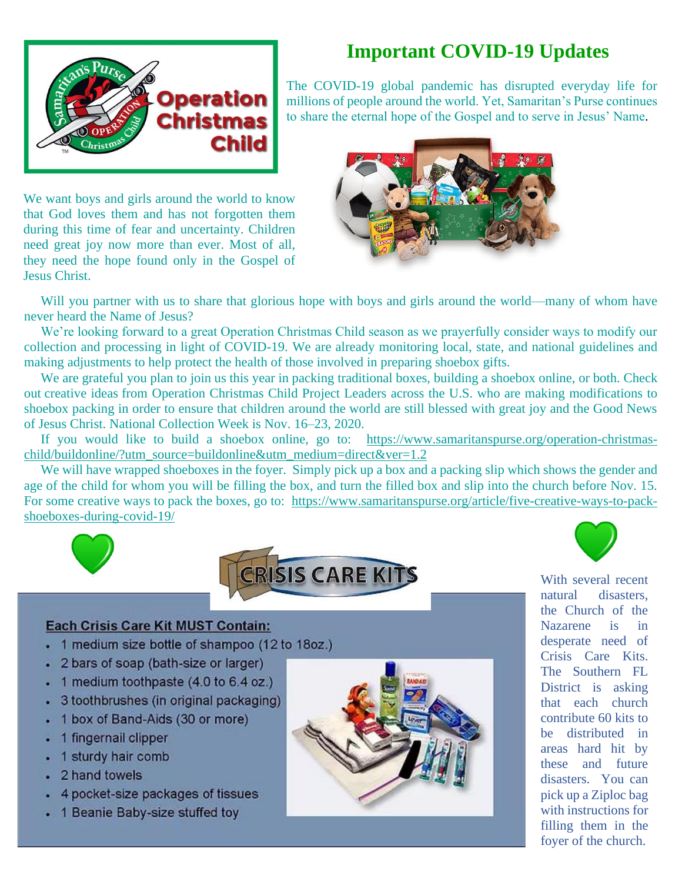

# **Important COVID-19 Updates**

The COVID-19 global pandemic has disrupted everyday life for millions of people around the world. Yet, Samaritan's Purse continues to share the eternal hope of the Gospel and to serve in Jesus' Name.

We want boys and girls around the world to know that God loves them and has not forgotten them during this time of fear and uncertainty. Children need great joy now more than ever. Most of all, they need the hope found only in the Gospel of Jesus Christ.



Will you partner with us to share that glorious hope with boys and girls around the world—many of whom have never heard the Name of Jesus?

 We're looking forward to a great Operation Christmas Child season as we prayerfully consider ways to modify our collection and processing in light of COVID-19. We are already monitoring local, state, and national guidelines and making adjustments to help protect the health of those involved in preparing shoebox gifts.

We are grateful you plan to join us this year in packing [traditional boxes,](https://www.samaritanspurse.org/operation-christmas-child/pack-a-shoe-box/) [building a shoebox online,](https://www.samaritanspurse.org/buildonline) or both. Check out [creative ideas](https://www.samaritanspurse.org/article/five-creative-ways-to-pack-shoeboxes-during-covid-19/) from Operation Christmas Child Project Leaders across the U.S. who are making modifications to shoebox packing in order to ensure that children around the world are still blessed with great joy and the Good News of Jesus Christ. National Collection Week is Nov. 16–23, 2020.

 If you would like to build a shoebox online, go to: [https://www.samaritanspurse.org/operation-christmas](https://www.samaritanspurse.org/operation-christmas-child/buildonline/?utm_source=buildonline&utm_medium=direct&ver=1.2)[child/buildonline/?utm\\_source=buildonline&utm\\_medium=direct&ver=1.2](https://www.samaritanspurse.org/operation-christmas-child/buildonline/?utm_source=buildonline&utm_medium=direct&ver=1.2)

We will have wrapped shoeboxes in the foyer. Simply pick up a box and a packing slip which shows the gender and age of the child for whom you will be filling the box, and turn the filled box and slip into the church before Nov. 15. For some creative ways to pack the boxes, go to: [https://www.samaritanspurse.org/article/five-creative-ways-to-pack](https://www.samaritanspurse.org/article/five-creative-ways-to-pack-shoeboxes-during-covid-19/)[shoeboxes-during-covid-19/](https://www.samaritanspurse.org/article/five-creative-ways-to-pack-shoeboxes-during-covid-19/)



### **Each Crisis Care Kit MUST Contain:**

- 1 medium size bottle of shampoo (12 to 18oz.)
- 2 bars of soap (bath-size or larger)
- $\cdot$  1 medium toothpaste (4.0 to 6.4 oz.)
- 3 toothbrushes (in original packaging)
- 1 box of Band-Aids (30 or more)
- 1 fingernail clipper
- 1 sturdy hair comb
- 2 hand towels
- 4 pocket-size packages of tissues
- 1 Beanie Baby-size stuffed toy



With several recent natural disasters, the Church of the Nazarene is in desperate need of Crisis Care Kits. The Southern FL District is asking that each church contribute 60 kits to be distributed in areas hard hit by these and future disasters. You can pick up a Ziploc bag with instructions for filling them in the foyer of the church.

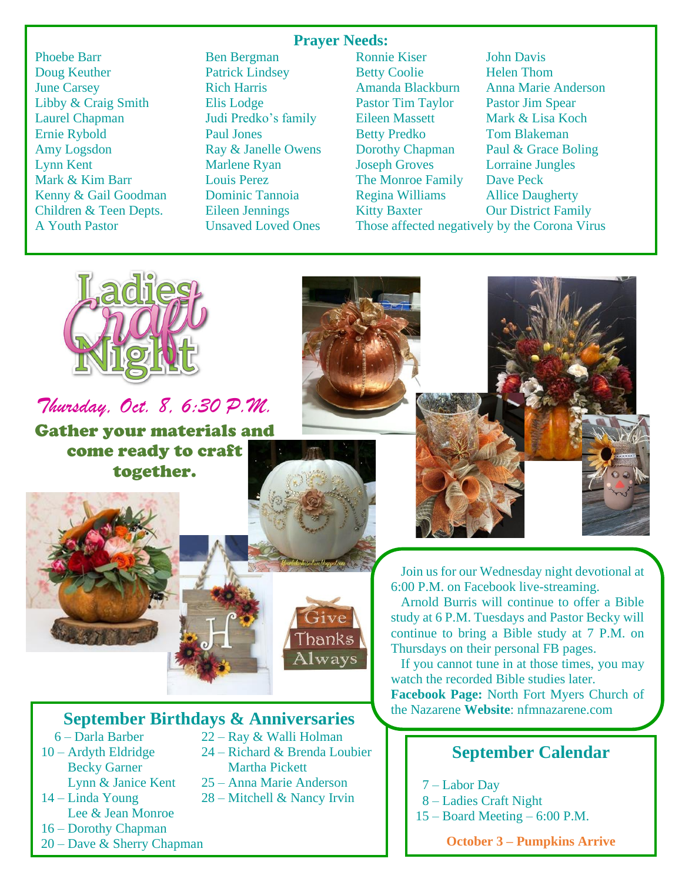### **Prayer Needs:**

Doug Keuther Patrick Lindsey Betty Coolie Helen Thom June Carsey Rich Harris Amanda Blackburn Anna Marie Anderson Libby & Craig Smith Elis Lodge Pastor Tim Taylor Pastor Jim Spear Laurel Chapman Judi Predko's family Eileen Massett Mark & Lisa Koch Ernie Rybold Paul Jones Betty Predko Tom Blakeman Amy Logsdon Ray & Janelle Owens Dorothy Chapman Paul & Grace Boling Lynn Kent Marlene Ryan Joseph Groves Lorraine Jungles Mark & Kim Barr **Louis Perez** The Monroe Family Dave Peck Kenny & Gail Goodman Dominic Tannoia Regina Williams Allice Daugherty Children & Teen Depts. Eileen Jennings Kitty Baxter Our District Family A Youth Pastor Unsaved Loved Ones Those affected negatively by the Corona Virus

Phoebe Barr Ben Bergman Ronnie Kiser John Davis



*Thursday, Oct. 8, 6:30 P.M.*

Gather your materials and come ready to craft together.



### **September Birthdays & Anniversaries**

- 
- Becky Garner Martha Pickett
- Lee & Jean Monroe
- 16 Dorothy Chapman
- 20 Dave & Sherry Chapman
- 6 Darla Barber 22 Ray & Walli Holman
- 10 Ardyth Eldridge 24 Richard & Brenda Loubier
	- Lynn & Janice Kent 25 Anna Marie Anderson
- 14 Linda Young 28 Mitchell & Nancy Irvin

 Join us for our Wednesday night devotional at 6:00 P.M. on Facebook live-streaming.

 Arnold Burris will continue to offer a Bible study at 6 P.M. Tuesdays and Pastor Becky will continue to bring a Bible study at 7 P.M. on Thursdays on their personal FB pages.

 If you cannot tune in at those times, you may watch the recorded Bible studies later. **Facebook Page:** North Fort Myers Church of the Nazarene **Website**: nfmnazarene.com

### **September Calendar**

7 – Labor Day

j

- 8 Ladies Craft Night
- 15 Board Meeting 6:00 P.M.

**October 3 – Pumpkins Arrive**